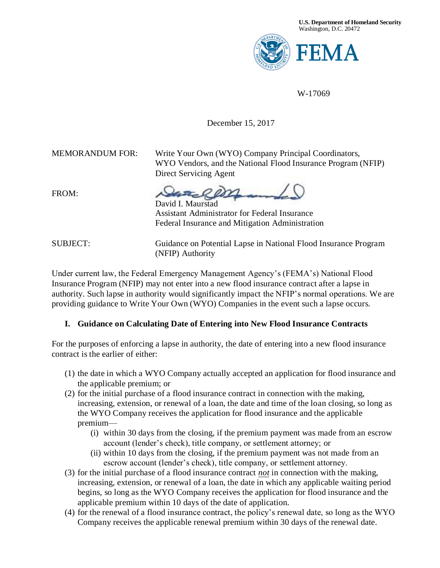

W-17069

#### December 15, 2017

MEMORANDUM FOR: Write Your Own (WYO) Company Principal Coordinators, WYO Vendors, and the National Flood Insurance Program (NFIP) Direct Servicing Agent

FROM:

David I. Maurstad Assistant Administrator for Federal Insurance Federal Insurance and Mitigation Administration

SUBJECT: Guidance on Potential Lapse in National Flood Insurance Program (NFIP) Authority

Under current law, the Federal Emergency Management Agency's (FEMA's) National Flood Insurance Program (NFIP) may not enter into a new flood insurance contract after a lapse in authority. Such lapse in authority would significantly impact the NFIP's normal operations. We are providing guidance to Write Your Own (WYO) Companies in the event such a lapse occurs.

#### **I. Guidance on Calculating Date of Entering into New Flood Insurance Contracts**

For the purposes of enforcing a lapse in authority, the date of entering into a new flood insurance contract is the earlier of either:

- (1) the date in which a WYO Company actually accepted an application for flood insurance and the applicable premium; or
- (2) for the initial purchase of a flood insurance contract in connection with the making, increasing, extension, or renewal of a loan, the date and time of the loan closing, so long as the WYO Company receives the application for flood insurance and the applicable premium—
	- (i) within 30 days from the closing, if the premium payment was made from an escrow account (lender's check), title company, or settlement attorney; or
	- (ii) within 10 days from the closing, if the premium payment was not made from an escrow account (lender's check), title company, or settlement attorney.
- (3) for the initial purchase of a flood insurance contract *not* in connection with the making, increasing, extension, or renewal of a loan, the date in which any applicable waiting period begins, so long as the WYO Company receives the application for flood insurance and the applicable premium within 10 days of the date of application.
- (4) for the renewal of a flood insurance contract, the policy's renewal date, so long as the WYO Company receives the applicable renewal premium within 30 days of the renewal date.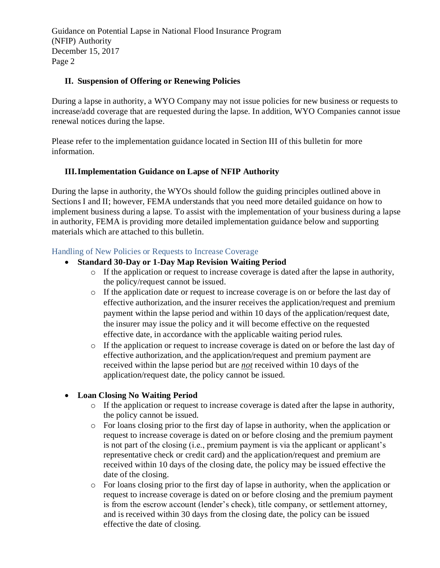#### **II. Suspension of Offering or Renewing Policies**

During a lapse in authority, a WYO Company may not issue policies for new business or requests to increase/add coverage that are requested during the lapse. In addition, WYO Companies cannot issue renewal notices during the lapse.

Please refer to the implementation guidance located in Section III of this bulletin for more information.

#### **III.Implementation Guidance on Lapse of NFIP Authority**

During the lapse in authority, the WYOs should follow the guiding principles outlined above in Sections I and II; however, FEMA understands that you need more detailed guidance on how to implement business during a lapse. To assist with the implementation of your business during a lapse in authority, FEMA is providing more detailed implementation guidance below and supporting materials which are attached to this bulletin.

#### Handling of New Policies or Requests to Increase Coverage

- **Standard 30-Day or 1-Day Map Revision Waiting Period** 
	- o If the application or request to increase coverage is dated after the lapse in authority, the policy/request cannot be issued.
	- o If the application date or request to increase coverage is on or before the last day of effective authorization, and the insurer receives the application/request and premium payment within the lapse period and within 10 days of the application/request date, the insurer may issue the policy and it will become effective on the requested effective date, in accordance with the applicable waiting period rules.
	- o If the application or request to increase coverage is dated on or before the last day of effective authorization, and the application/request and premium payment are received within the lapse period but are *not* received within 10 days of the application/request date, the policy cannot be issued.

#### **Loan Closing No Waiting Period**

- o If the application or request to increase coverage is dated after the lapse in authority, the policy cannot be issued.
- o For loans closing prior to the first day of lapse in authority, when the application or request to increase coverage is dated on or before closing and the premium payment is not part of the closing (i.e., premium payment is via the applicant or applicant's representative check or credit card) and the application/request and premium are received within 10 days of the closing date, the policy may be issued effective the date of the closing.
- $\circ$  For loans closing prior to the first day of lapse in authority, when the application or request to increase coverage is dated on or before closing and the premium payment is from the escrow account (lender's check), title company, or settlement attorney, and is received within 30 days from the closing date, the policy can be issued effective the date of closing.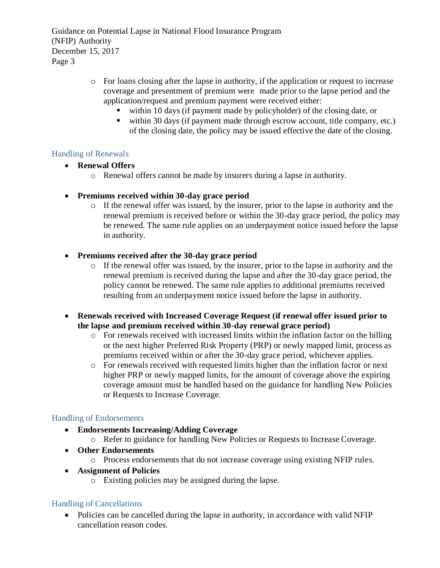- o For loans closing after the lapse in authority, if the application or request to increase coverage and presentment of premium were made prior to the lapse period and the application/request and premium payment were received either:
	- within 10 days (if payment made by policyholder) of the closing date, or
	- within 30 days (if payment made through escrow account, title company, etc.) of the closing date, the policy may be issued effective the date of the closing.

#### Handling of Renewals

- **Renewal Offers**
	- o Renewal offers cannot be made by insurers during a lapse in authority.
- **Premiums received within 30-day grace period**
	- o If the renewal offer was issued, by the insurer, prior to the lapse in authority and the renewal premium is received before or within the 30-day grace period, the policy may be renewed. The same rule applies on an underpayment notice issued before the lapse in authority.

#### **Premiums received after the 30-day grace period**

- o If the renewal offer was issued, by the insurer, prior to the lapse in authority and the renewal premium is received during the lapse and after the 30-day grace period, the policy cannot be renewed. The same rule applies to additional premiums received resulting from an underpayment notice issued before the lapse in authority.
- **Renewals received with Increased Coverage Request (if renewal offer issued prior to the lapse and premium received within 30-day renewal grace period)**
	- o For renewals received with increased limits within the inflation factor on the billing or the next higher Preferred Risk Property (PRP) or newly mapped limit, process as premiums received within or after the 30-day grace period, whichever applies.
	- o For renewals received with requested limits higher than the inflation factor or next higher PRP or newly mapped limits, for the amount of coverage above the expiring coverage amount must be handled based on the guidance for handling New Policies or Requests to Increase Coverage.

#### Handling of Endorsements

- **Endorsements Increasing/Adding Coverage**
	- o Refer to guidance for handling New Policies or Requests to Increase Coverage.
- **Other Endorsements**
	- o Process endorsements that do not increase coverage using existing NFIP rules.
- **Assignment of Policies**
	- o Existing policies may be assigned during the lapse.

#### Handling of Cancellations

• Policies can be cancelled during the lapse in authority, in accordance with valid NFIP cancellation reason codes.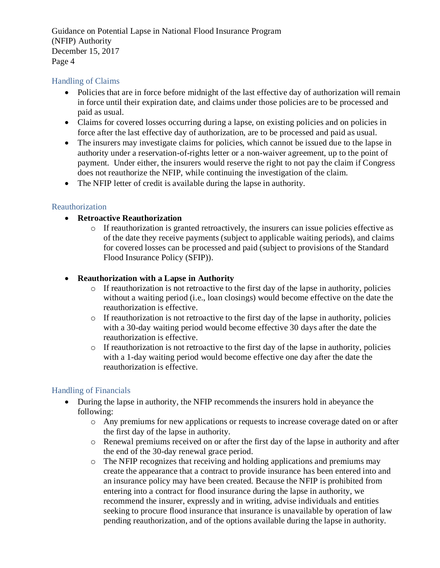#### Handling of Claims

- Policies that are in force before midnight of the last effective day of authorization will remain in force until their expiration date, and claims under those policies are to be processed and paid as usual.
- Claims for covered losses occurring during a lapse, on existing policies and on policies in force after the last effective day of authorization, are to be processed and paid as usual.
- The insurers may investigate claims for policies, which cannot be issued due to the lapse in authority under a reservation-of-rights letter or a non-waiver agreement, up to the point of payment. Under either, the insurers would reserve the right to not pay the claim if Congress does not reauthorize the NFIP, while continuing the investigation of the claim.
- The NFIP letter of credit is available during the lapse in authority.

#### Reauthorization

#### **Retroactive Reauthorization**

o If reauthorization is granted retroactively, the insurers can issue policies effective as of the date they receive payments (subject to applicable waiting periods), and claims for covered losses can be processed and paid (subject to provisions of the Standard Flood Insurance Policy (SFIP)).

#### **Reauthorization with a Lapse in Authority**

- o If reauthorization is not retroactive to the first day of the lapse in authority, policies without a waiting period (i.e., loan closings) would become effective on the date the reauthorization is effective.
- o If reauthorization is not retroactive to the first day of the lapse in authority, policies with a 30-day waiting period would become effective 30 days after the date the reauthorization is effective.
- o If reauthorization is not retroactive to the first day of the lapse in authority, policies with a 1-day waiting period would become effective one day after the date the reauthorization is effective.

#### Handling of Financials

- During the lapse in authority, the NFIP recommends the insurers hold in abeyance the following:
	- o Any premiums for new applications or requests to increase coverage dated on or after the first day of the lapse in authority.
	- o Renewal premiums received on or after the first day of the lapse in authority and after the end of the 30-day renewal grace period.
	- o The NFIP recognizes that receiving and holding applications and premiums may create the appearance that a contract to provide insurance has been entered into and an insurance policy may have been created. Because the NFIP is prohibited from entering into a contract for flood insurance during the lapse in authority, we recommend the insurer, expressly and in writing, advise individuals and entities seeking to procure flood insurance that insurance is unavailable by operation of law pending reauthorization, and of the options available during the lapse in authority.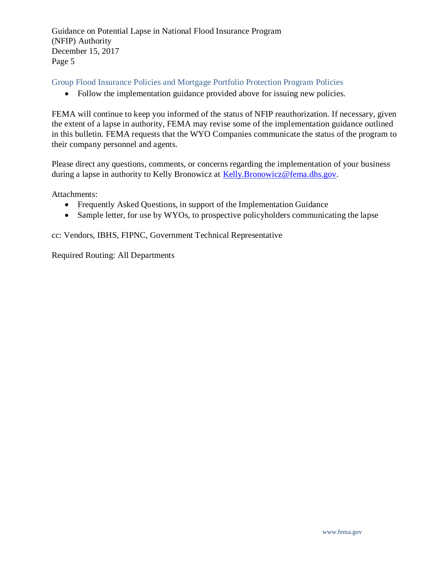Group Flood Insurance Policies and Mortgage Portfolio Protection Program Policies

• Follow the implementation guidance provided above for issuing new policies.

FEMA will continue to keep you informed of the status of NFIP reauthorization. If necessary, given the extent of a lapse in authority, FEMA may revise some of the implementation guidance outlined in this bulletin. FEMA requests that the WYO Companies communicate the status of the program to their company personnel and agents.

Please direct any questions, comments, or concerns regarding the implementation of your business during a lapse in authority to Kelly Bronowicz at [Kelly.Bronowicz@fema.dhs.gov.](mailto:Kelly.Bronowicz@fema.dhs.gov)

Attachments:

- Frequently Asked Questions, in support of the Implementation Guidance
- Sample letter, for use by WYOs, to prospective policyholders communicating the lapse

cc: Vendors, IBHS, FIPNC, Government Technical Representative

Required Routing: All Departments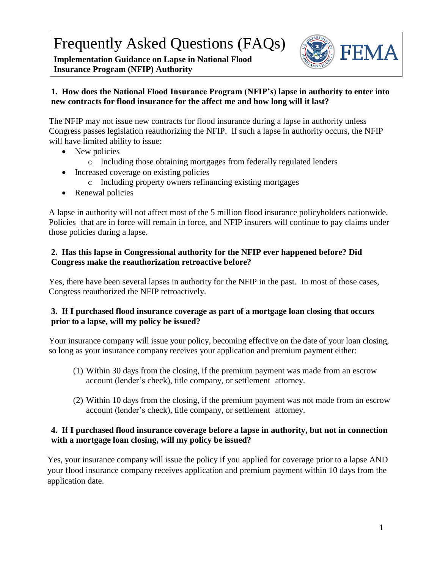Frequently Asked Questions (FAQs)

**Implementation Guidance on Lapse in National Flood Insurance Program (NFIP) Authority**



## **1. How does the National Flood Insurance Program (NFIP's) lapse in authority to enter into new contracts for flood insurance for the affect me and how long will it last?**

The NFIP may not issue new contracts for flood insurance during a lapse in authority unless Congress passes legislation reauthorizing the NFIP. If such a lapse in authority occurs, the NFIP will have limited ability to issue:

- New policies
	- o Including those obtaining mortgages from federally regulated lenders
- Increased coverage on existing policies
	- o Including property owners refinancing existing mortgages
- Renewal policies

A lapse in authority will not affect most of the 5 million flood insurance policyholders nationwide. Policies that are in force will remain in force, and NFIP insurers will continue to pay claims under those policies during a lapse.

#### **2. Has this lapse in Congressional authority for the NFIP ever happened before? Did Congress make the reauthorization retroactive before?**

Yes, there have been several lapses in authority for the NFIP in the past. In most of those cases, Congress reauthorized the NFIP retroactively.

## **3. If I purchased flood insurance coverage as part of a mortgage loan closing that occurs prior to a lapse, will my policy be issued?**

Your insurance company will issue your policy, becoming effective on the date of your loan closing, so long as your insurance company receives your application and premium payment either:

- (1) Within 30 days from the closing, if the premium payment was made from an escrow account (lender's check), title company, or settlement attorney.
- (2) Within 10 days from the closing, if the premium payment was not made from an escrow account (lender's check), title company, or settlement attorney.

#### **4. If I purchased flood insurance coverage before a lapse in authority, but not in connection with a mortgage loan closing, will my policy be issued?**

Yes, your insurance company will issue the policy if you applied for coverage prior to a lapse AND your flood insurance company receives application and premium payment within 10 days from the application date.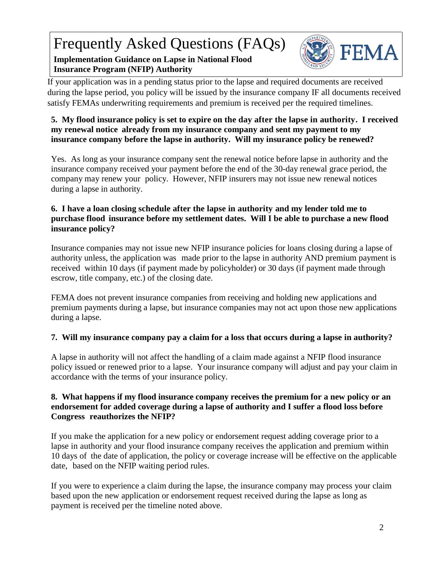# Frequently Asked Questions (FAQs)

## **Implementation Guidance on Lapse in National Flood Insurance Program (NFIP) Authority**



If your application was in a pending status prior to the lapse and required documents are received during the lapse period, you policy will be issued by the insurance company IF all documents received satisfy FEMAs underwriting requirements and premium is received per the required timelines.

## **5. My flood insurance policy is set to expire on the day after the lapse in authority. I received my renewal notice already from my insurance company and sent my payment to my insurance company before the lapse in authority. Will my insurance policy be renewed?**

Yes. As long as your insurance company sent the renewal notice before lapse in authority and the insurance company received your payment before the end of the 30-day renewal grace period, the company may renew your policy. However, NFIP insurers may not issue new renewal notices during a lapse in authority.

## **6. I have a loan closing schedule after the lapse in authority and my lender told me to purchase flood insurance before my settlement dates. Will I be able to purchase a new flood insurance policy?**

Insurance companies may not issue new NFIP insurance policies for loans closing during a lapse of authority unless, the application was made prior to the lapse in authority AND premium payment is received within 10 days (if payment made by policyholder) or 30 days (if payment made through escrow, title company, etc.) of the closing date.

FEMA does not prevent insurance companies from receiving and holding new applications and premium payments during a lapse, but insurance companies may not act upon those new applications during a lapse.

## **7. Will my insurance company pay a claim for a loss that occurs during a lapse in authority?**

A lapse in authority will not affect the handling of a claim made against a NFIP flood insurance policy issued or renewed prior to a lapse. Your insurance company will adjust and pay your claim in accordance with the terms of your insurance policy.

## **8. What happens if my flood insurance company receives the premium for a new policy or an endorsement for added coverage during a lapse of authority and I suffer a flood loss before Congress reauthorizes the NFIP?**

If you make the application for a new policy or endorsement request adding coverage prior to a lapse in authority and your flood insurance company receives the application and premium within 10 days of the date of application, the policy or coverage increase will be effective on the applicable date, based on the NFIP waiting period rules.

If you were to experience a claim during the lapse, the insurance company may process your claim based upon the new application or endorsement request received during the lapse as long as payment is received per the timeline noted above.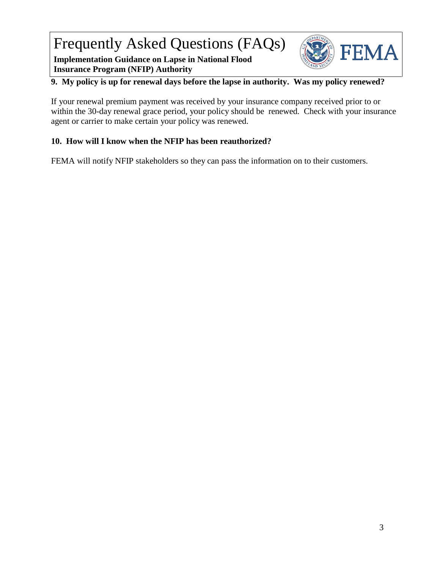Frequently Asked Questions (FAQs)

**Implementation Guidance on Lapse in National Flood Insurance Program (NFIP) Authority**



## **9. My policy is up for renewal days before the lapse in authority. Was my policy renewed?**

If your renewal premium payment was received by your insurance company received prior to or within the 30-day renewal grace period, your policy should be renewed. Check with your insurance agent or carrier to make certain your policy was renewed.

#### **10. How will I know when the NFIP has been reauthorized?**

FEMA will notify NFIP stakeholders so they can pass the information on to their customers.